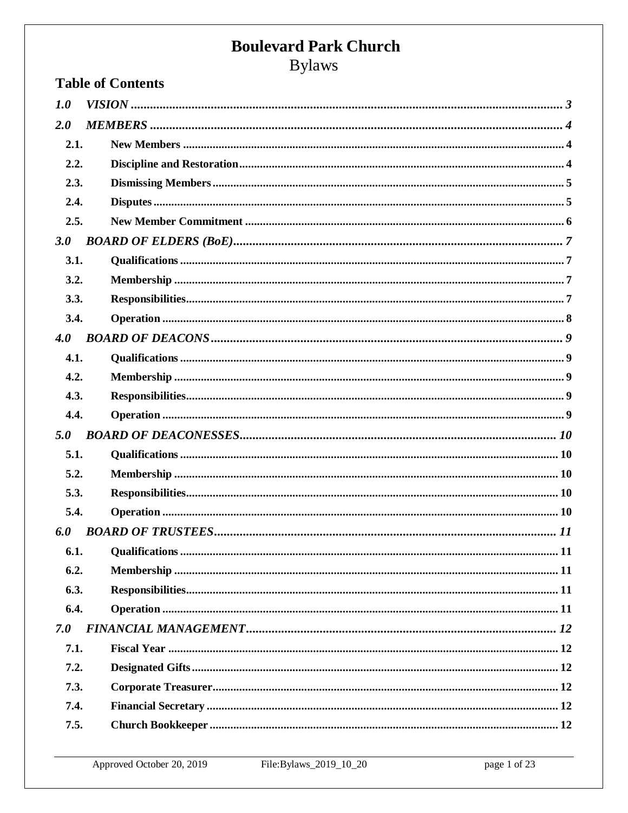**Bylaws** 

| <b>Table of Contents</b> |  |  |
|--------------------------|--|--|
| 1.0                      |  |  |
| 2.0                      |  |  |
| 2.1.                     |  |  |
| 2.2.                     |  |  |
| 2.3.                     |  |  |
| 2.4.                     |  |  |
| 2.5.                     |  |  |
| 3.0                      |  |  |
| 3.1.                     |  |  |
| 3.2.                     |  |  |
| 3.3.                     |  |  |
| 3.4.                     |  |  |
| 4.0                      |  |  |
| 4.1.                     |  |  |
| 4.2.                     |  |  |
| 4.3.                     |  |  |
| 4.4.                     |  |  |
| 5.0                      |  |  |
| 5.1.                     |  |  |
| 5.2.                     |  |  |
| 5.3.                     |  |  |
| 5.4.                     |  |  |
| 6.0                      |  |  |
| 6.1.                     |  |  |
| 6.2.                     |  |  |
| 6.3.                     |  |  |
| 6.4.                     |  |  |
| 7.0                      |  |  |
| 7.1.                     |  |  |
| 7.2.                     |  |  |
| 7.3.                     |  |  |
| 7.4.                     |  |  |
| 7.5.                     |  |  |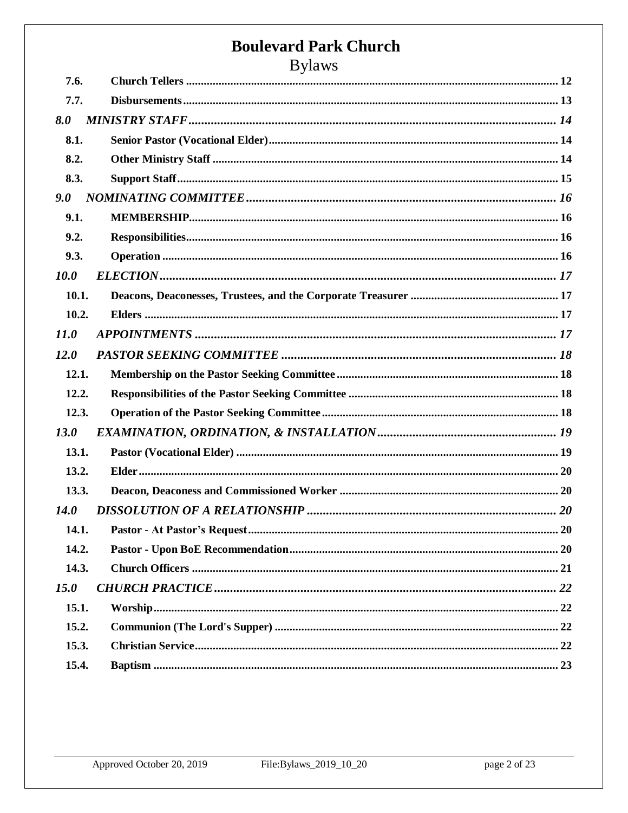|             | $D$ yiaws |  |
|-------------|-----------|--|
| 7.6.        |           |  |
| 7.7.        |           |  |
| 8.0         |           |  |
| 8.1.        |           |  |
| 8.2.        |           |  |
| 8.3.        |           |  |
| 9.0         |           |  |
| 9.1.        |           |  |
| 9.2.        |           |  |
| 9.3.        |           |  |
| <b>10.0</b> |           |  |
| 10.1.       |           |  |
| 10.2.       |           |  |
| 11.0        |           |  |
| 12.0        |           |  |
| 12.1.       |           |  |
| 12.2.       |           |  |
| 12.3.       |           |  |
| <b>13.0</b> |           |  |
| 13.1.       |           |  |
| 13.2.       |           |  |
| 13.3.       |           |  |
| <b>14.0</b> |           |  |
| 14.1.       |           |  |
| 14.2.       |           |  |
| 14.3.       |           |  |
| 15.0        |           |  |
| 15.1.       |           |  |
| 15.2.       |           |  |
| 15.3.       |           |  |
| 15.4.       |           |  |
|             |           |  |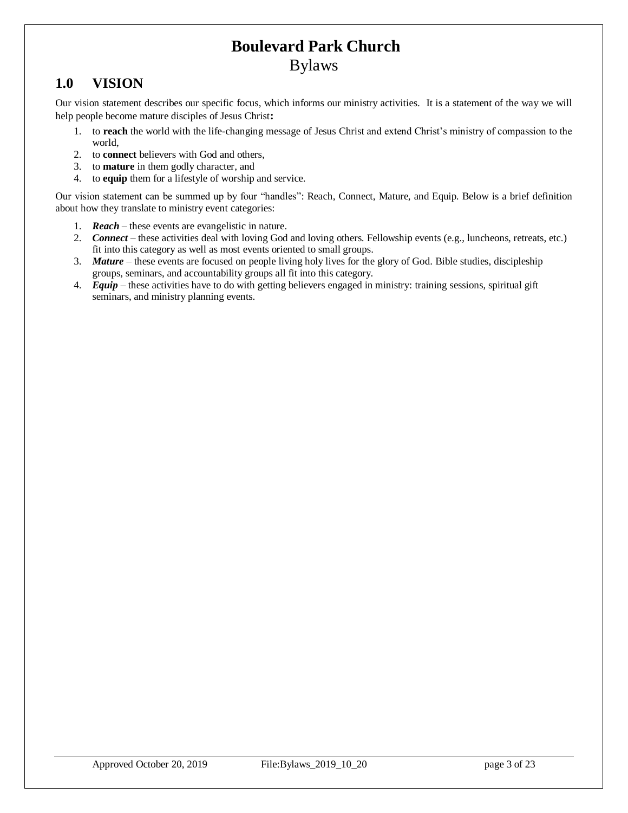### <span id="page-2-0"></span>**1.0 VISION**

Our vision statement describes our specific focus, which informs our ministry activities. It is a statement of the way we will help people become mature disciples of Jesus Christ**:** 

- 1. to **reach** the world with the life-changing message of Jesus Christ and extend Christ's ministry of compassion to the world,
- 2. to **connect** believers with God and others,
- 3. to **mature** in them godly character, and
- 4. to **equip** them for a lifestyle of worship and service.

Our vision statement can be summed up by four "handles": Reach, Connect, Mature, and Equip. Below is a brief definition about how they translate to ministry event categories:

- 1. *Reach* these events are evangelistic in nature.
- 2. *Connect* these activities deal with loving God and loving others. Fellowship events (e.g., luncheons, retreats, etc.) fit into this category as well as most events oriented to small groups.
- 3. *Mature* these events are focused on people living holy lives for the glory of God. Bible studies, discipleship groups, seminars, and accountability groups all fit into this category.
- 4. *Equip* these activities have to do with getting believers engaged in ministry: training sessions, spiritual gift seminars, and ministry planning events.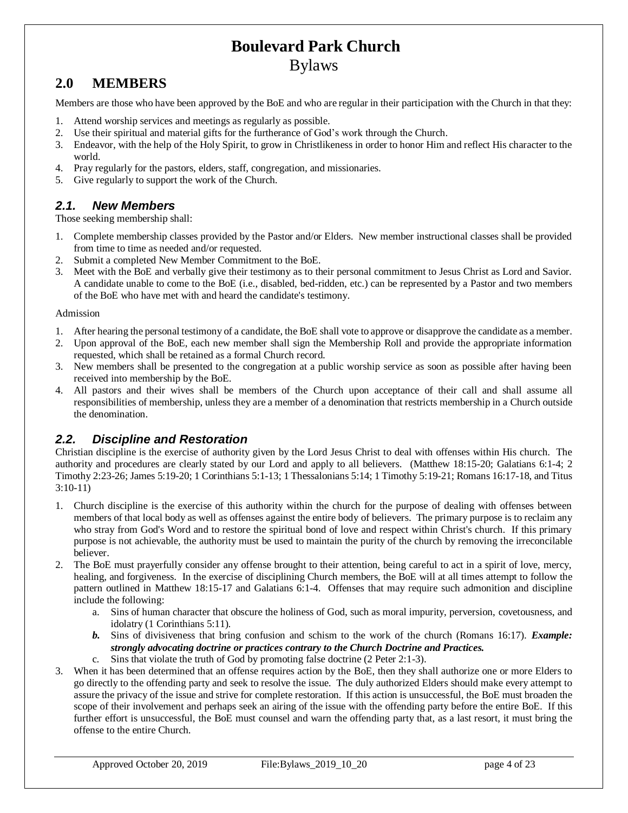## <span id="page-3-0"></span>**2.0 MEMBERS**

Members are those who have been approved by the BoE and who are regular in their participation with the Church in that they:

- 1. Attend worship services and meetings as regularly as possible.
- 2. Use their spiritual and material gifts for the furtherance of God's work through the Church.
- 3. Endeavor, with the help of the Holy Spirit, to grow in Christlikeness in order to honor Him and reflect His character to the world.
- 4. Pray regularly for the pastors, elders, staff, congregation, and missionaries.
- 5. Give regularly to support the work of the Church.

#### <span id="page-3-1"></span>*2.1. New Members*

Those seeking membership shall:

- 1. Complete membership classes provided by the Pastor and/or Elders. New member instructional classes shall be provided from time to time as needed and/or requested.
- 2. Submit a completed New Member Commitment to the BoE.
- 3. Meet with the BoE and verbally give their testimony as to their personal commitment to Jesus Christ as Lord and Savior. A candidate unable to come to the BoE (i.e., disabled, bed-ridden, etc.) can be represented by a Pastor and two members of the BoE who have met with and heard the candidate's testimony.

#### Admission

- 1. After hearing the personal testimony of a candidate, the BoE shall vote to approve or disapprove the candidate as a member.
- 2. Upon approval of the BoE, each new member shall sign the Membership Roll and provide the appropriate information requested, which shall be retained as a formal Church record.
- 3. New members shall be presented to the congregation at a public worship service as soon as possible after having been received into membership by the BoE.
- 4. All pastors and their wives shall be members of the Church upon acceptance of their call and shall assume all responsibilities of membership, unless they are a member of a denomination that restricts membership in a Church outside the denomination.

#### <span id="page-3-2"></span>*2.2. Discipline and Restoration*

Christian discipline is the exercise of authority given by the Lord Jesus Christ to deal with offenses within His church. The authority and procedures are clearly stated by our Lord and apply to all believers. (Matthew 18:15-20; Galatians 6:1-4; 2 Timothy 2:23-26; James 5:19-20; 1 Corinthians 5:1-13; 1 Thessalonians 5:14; 1 Timothy 5:19-21; Romans 16:17-18, and Titus 3:10-11)

- 1. Church discipline is the exercise of this authority within the church for the purpose of dealing with offenses between members of that local body as well as offenses against the entire body of believers. The primary purpose is to reclaim any who stray from God's Word and to restore the spiritual bond of love and respect within Christ's church. If this primary purpose is not achievable, the authority must be used to maintain the purity of the church by removing the irreconcilable believer.
- 2. The BoE must prayerfully consider any offense brought to their attention, being careful to act in a spirit of love, mercy, healing, and forgiveness. In the exercise of disciplining Church members, the BoE will at all times attempt to follow the pattern outlined in Matthew 18:15-17 and Galatians 6:1-4. Offenses that may require such admonition and discipline include the following:
	- a. Sins of human character that obscure the holiness of God, such as moral impurity, perversion, covetousness, and idolatry (1 Corinthians 5:11).
	- *b.* Sins of divisiveness that bring confusion and schism to the work of the church (Romans 16:17). *Example: strongly advocating doctrine or practices contrary to the Church Doctrine and Practices.*
	- c. Sins that violate the truth of God by promoting false doctrine (2 Peter 2:1-3).
- 3. When it has been determined that an offense requires action by the BoE, then they shall authorize one or more Elders to go directly to the offending party and seek to resolve the issue. The duly authorized Elders should make every attempt to assure the privacy of the issue and strive for complete restoration. If this action is unsuccessful, the BoE must broaden the scope of their involvement and perhaps seek an airing of the issue with the offending party before the entire BoE. If this further effort is unsuccessful, the BoE must counsel and warn the offending party that, as a last resort, it must bring the offense to the entire Church.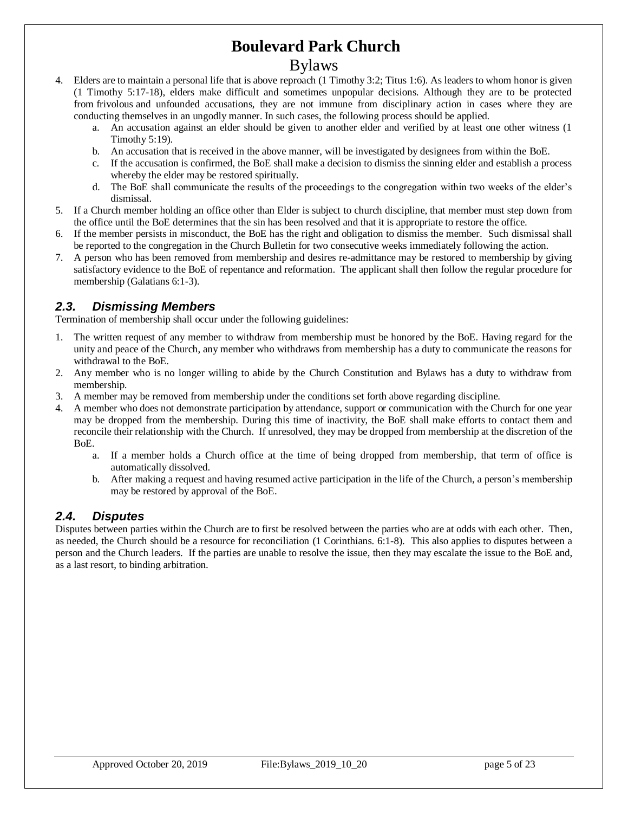### Bylaws

- 4. Elders are to maintain a personal life that is above reproach (1 Timothy 3:2; Titus 1:6). As leaders to whom honor is given (1 Timothy 5:17-18), elders make difficult and sometimes unpopular decisions. Although they are to be protected from frivolous and unfounded accusations, they are not immune from disciplinary action in cases where they are conducting themselves in an ungodly manner. In such cases, the following process should be applied.
	- a. An accusation against an elder should be given to another elder and verified by at least one other witness (1 Timothy 5:19).
	- b. An accusation that is received in the above manner, will be investigated by designees from within the BoE.
	- c. If the accusation is confirmed, the BoE shall make a decision to dismiss the sinning elder and establish a process whereby the elder may be restored spiritually.
	- d. The BoE shall communicate the results of the proceedings to the congregation within two weeks of the elder's dismissal.
- 5. If a Church member holding an office other than Elder is subject to church discipline, that member must step down from the office until the BoE determines that the sin has been resolved and that it is appropriate to restore the office.
- 6. If the member persists in misconduct, the BoE has the right and obligation to dismiss the member. Such dismissal shall be reported to the congregation in the Church Bulletin for two consecutive weeks immediately following the action.
- 7. A person who has been removed from membership and desires re-admittance may be restored to membership by giving satisfactory evidence to the BoE of repentance and reformation. The applicant shall then follow the regular procedure for membership (Galatians 6:1-3).

#### <span id="page-4-0"></span>*2.3. Dismissing Members*

Termination of membership shall occur under the following guidelines:

- 1. The written request of any member to withdraw from membership must be honored by the BoE. Having regard for the unity and peace of the Church, any member who withdraws from membership has a duty to communicate the reasons for withdrawal to the BoE.
- 2. Any member who is no longer willing to abide by the Church Constitution and Bylaws has a duty to withdraw from membership.
- 3. A member may be removed from membership under the conditions set forth above regarding discipline.
- 4. A member who does not demonstrate participation by attendance, support or communication with the Church for one year may be dropped from the membership. During this time of inactivity, the BoE shall make efforts to contact them and reconcile their relationship with the Church. If unresolved, they may be dropped from membership at the discretion of the BoE.
	- a. If a member holds a Church office at the time of being dropped from membership, that term of office is automatically dissolved.
	- b. After making a request and having resumed active participation in the life of the Church, a person's membership may be restored by approval of the BoE.

#### <span id="page-4-1"></span>*2.4. Disputes*

Disputes between parties within the Church are to first be resolved between the parties who are at odds with each other. Then, as needed, the Church should be a resource for reconciliation (1 Corinthians. 6:1-8). This also applies to disputes between a person and the Church leaders. If the parties are unable to resolve the issue, then they may escalate the issue to the BoE and, as a last resort, to binding arbitration.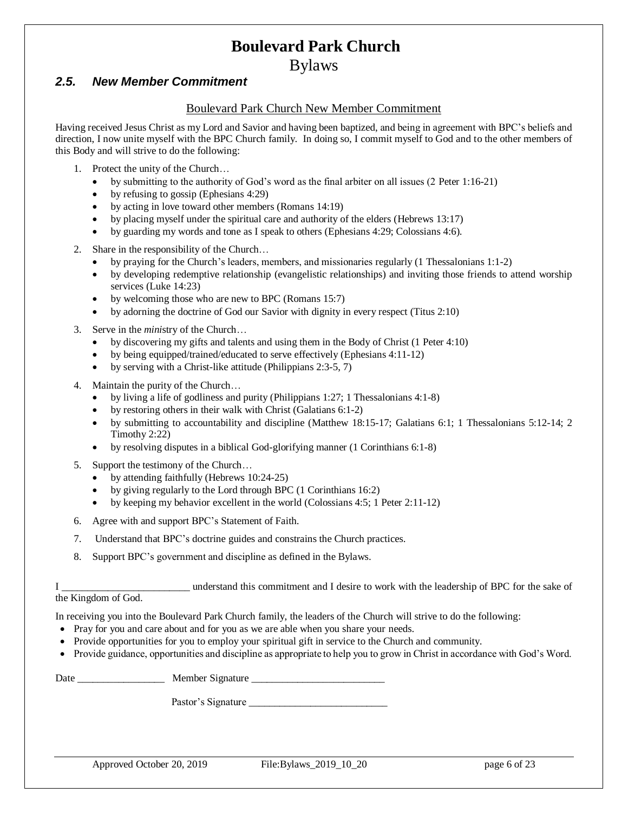Bylaws

#### <span id="page-5-0"></span>*2.5. New Member Commitment*

#### Boulevard Park Church New Member Commitment

Having received Jesus Christ as my Lord and Savior and having been baptized, and being in agreement with BPC's beliefs and direction, I now unite myself with the BPC Church family. In doing so, I commit myself to God and to the other members of this Body and will strive to do the following:

- 1. Protect the unity of the Church…
	- by submitting to the authority of God's word as the final arbiter on all issues (2 Peter 1:16-21)
	- by refusing to gossip (Ephesians 4:29)
	- by acting in love toward other members (Romans 14:19)
	- by placing myself under the spiritual care and authority of the elders (Hebrews 13:17)
	- by guarding my words and tone as I speak to others (Ephesians 4:29; Colossians 4:6).
- 2. Share in the responsibility of the Church…
	- by praying for the Church's leaders, members, and missionaries regularly (1 Thessalonians 1:1-2)
	- by developing redemptive relationship (evangelistic relationships) and inviting those friends to attend worship services (Luke 14:23)
	- by welcoming those who are new to BPC (Romans 15:7)
	- by adorning the doctrine of God our Savior with dignity in every respect (Titus 2:10)
- 3. Serve in the *mini*stry of the Church…
	- by discovering my gifts and talents and using them in the Body of Christ (1 Peter 4:10)
	- by being equipped/trained/educated to serve effectively (Ephesians 4:11-12)
	- by serving with a Christ-like attitude (Philippians 2:3-5, 7)
- 4. Maintain the purity of the Church…
	- by living a life of godliness and purity (Philippians 1:27; 1 Thessalonians 4:1-8)
	- by restoring others in their walk with Christ (Galatians 6:1-2)
	- by submitting to accountability and discipline (Matthew 18:15-17; Galatians 6:1; 1 Thessalonians 5:12-14; 2 Timothy 2:22)
	- by resolving disputes in a biblical God-glorifying manner (1 Corinthians 6:1-8)
- 5. Support the testimony of the Church…
	- by attending faithfully (Hebrews 10:24-25)
	- by giving regularly to the Lord through BPC (1 Corinthians 16:2)
	- by keeping my behavior excellent in the world (Colossians 4:5; 1 Peter 2:11-12)
- 6. Agree with and support BPC's Statement of Faith.
- 7. Understand that BPC's doctrine guides and constrains the Church practices.
- 8. Support BPC's government and discipline as defined in the Bylaws.

I \_\_\_\_\_\_\_\_\_\_\_\_\_\_\_\_\_\_\_\_\_\_\_\_\_ understand this commitment and I desire to work with the leadership of BPC for the sake of

the Kingdom of God.

In receiving you into the Boulevard Park Church family, the leaders of the Church will strive to do the following:

- Pray for you and care about and for you as we are able when you share your needs.
- Provide opportunities for you to employ your spiritual gift in service to the Church and community.
- Provide guidance, opportunities and discipline as appropriate to help you to grow in Christ in accordance with God's Word.

Date \_\_\_\_\_\_\_\_\_\_\_\_\_\_\_\_\_ Member Signature \_\_\_\_\_\_\_\_\_\_\_\_\_\_\_\_\_\_\_\_\_\_\_\_\_\_

Pastor's Signature

Approved October 20, 2019 File:Bylaws 2019 10 20 page 6 of 23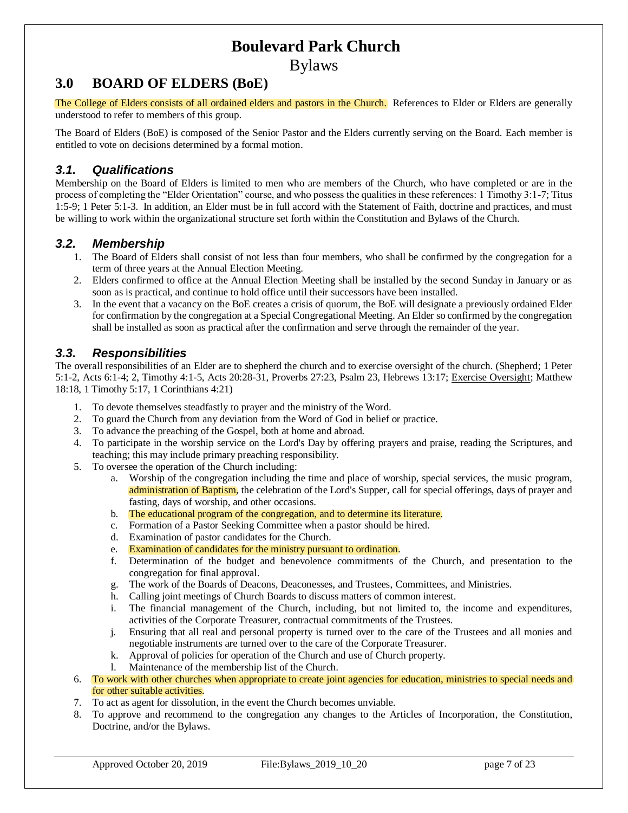Bylaws

## <span id="page-6-0"></span>**3.0 BOARD OF ELDERS (BoE)**

The College of Elders consists of all ordained elders and pastors in the Church. References to Elder or Elders are generally understood to refer to members of this group.

The Board of Elders (BoE) is composed of the Senior Pastor and the Elders currently serving on the Board. Each member is entitled to vote on decisions determined by a formal motion.

#### <span id="page-6-1"></span>*3.1. Qualifications*

Membership on the Board of Elders is limited to men who are members of the Church, who have completed or are in the process of completing the "Elder Orientation" course, and who possess the qualities in these references: 1 Timothy 3:1-7; Titus 1:5-9; 1 Peter 5:1-3. In addition, an Elder must be in full accord with the Statement of Faith, doctrine and practices, and must be willing to work within the organizational structure set forth within the Constitution and Bylaws of the Church.

#### <span id="page-6-2"></span>*3.2. Membership*

- 1. The Board of Elders shall consist of not less than four members, who shall be confirmed by the congregation for a term of three years at the Annual Election Meeting.
- 2. Elders confirmed to office at the Annual Election Meeting shall be installed by the second Sunday in January or as soon as is practical, and continue to hold office until their successors have been installed.
- 3. In the event that a vacancy on the BoE creates a crisis of quorum, the BoE will designate a previously ordained Elder for confirmation by the congregation at a Special Congregational Meeting. An Elder so confirmed by the congregation shall be installed as soon as practical after the confirmation and serve through the remainder of the year.

#### <span id="page-6-3"></span>*3.3. Responsibilities*

The overall responsibilities of an Elder are to shepherd the church and to exercise oversight of the church. (Shepherd; 1 Peter 5:1-2, Acts 6:1-4; 2, Timothy 4:1-5, Acts 20:28-31, Proverbs 27:23, Psalm 23, Hebrews 13:17; Exercise Oversight; Matthew 18:18, 1 Timothy 5:17, 1 Corinthians 4:21)

- 1. To devote themselves steadfastly to prayer and the ministry of the Word.
- 2. To guard the Church from any deviation from the Word of God in belief or practice.
- 3. To advance the preaching of the Gospel, both at home and abroad.
- 4. To participate in the worship service on the Lord's Day by offering prayers and praise, reading the Scriptures, and teaching; this may include primary preaching responsibility.
- 5. To oversee the operation of the Church including:
	- a. Worship of the congregation including the time and place of worship, special services, the music program, administration of Baptism, the celebration of the Lord's Supper, call for special offerings, days of prayer and fasting, days of worship, and other occasions.
	- b. The educational program of the congregation, and to determine its literature.
	- c. Formation of a Pastor Seeking Committee when a pastor should be hired.
	- d. Examination of pastor candidates for the Church.
	- e. Examination of candidates for the ministry pursuant to ordination.
	- f. Determination of the budget and benevolence commitments of the Church, and presentation to the congregation for final approval.
	- g. The work of the Boards of Deacons, Deaconesses, and Trustees, Committees, and Ministries.
	- h. Calling joint meetings of Church Boards to discuss matters of common interest.
	- i. The financial management of the Church, including, but not limited to, the income and expenditures, activities of the Corporate Treasurer, contractual commitments of the Trustees.
	- j. Ensuring that all real and personal property is turned over to the care of the Trustees and all monies and negotiable instruments are turned over to the care of the Corporate Treasurer.
	- k. Approval of policies for operation of the Church and use of Church property.
	- l. Maintenance of the membership list of the Church.
- 6. To work with other churches when appropriate to create joint agencies for education, ministries to special needs and for other suitable activities.
- 7. To act as agent for dissolution, in the event the Church becomes unviable.
- 8. To approve and recommend to the congregation any changes to the Articles of Incorporation, the Constitution, Doctrine, and/or the Bylaws.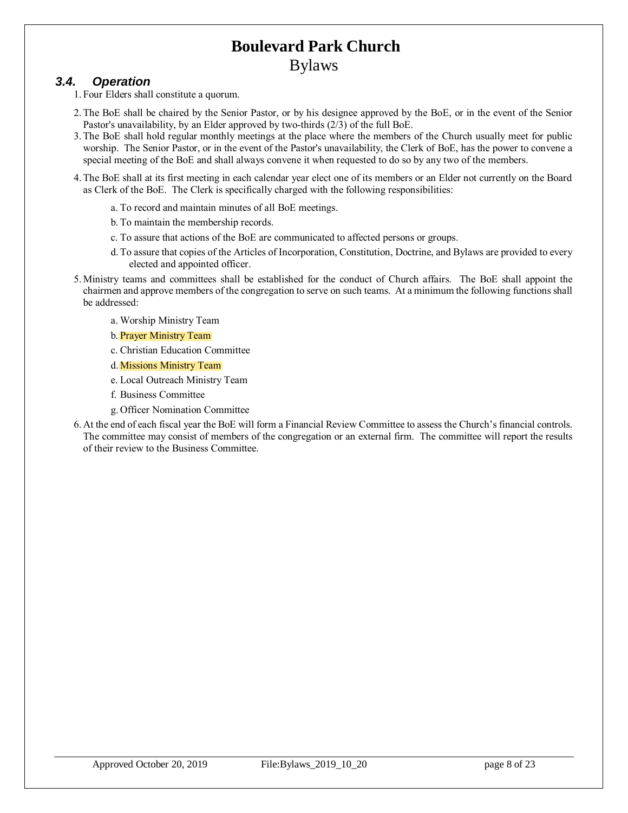#### <span id="page-7-0"></span>*3.4. Operation*

1. Four Elders shall constitute a quorum.

- 2. The BoE shall be chaired by the Senior Pastor, or by his designee approved by the BoE, or in the event of the Senior Pastor's unavailability, by an Elder approved by two-thirds (2/3) of the full BoE.
- 3. The BoE shall hold regular monthly meetings at the place where the members of the Church usually meet for public worship. The Senior Pastor, or in the event of the Pastor's unavailability, the Clerk of BoE, has the power to convene a special meeting of the BoE and shall always convene it when requested to do so by any two of the members.
- 4. The BoE shall at its first meeting in each calendar year elect one of its members or an Elder not currently on the Board as Clerk of the BoE. The Clerk is specifically charged with the following responsibilities:
	- a. To record and maintain minutes of all BoE meetings.
	- b. To maintain the membership records.
	- c. To assure that actions of the BoE are communicated to affected persons or groups.
	- d. To assure that copies of the Articles of Incorporation, Constitution, Doctrine, and Bylaws are provided to every elected and appointed officer.
- 5. Ministry teams and committees shall be established for the conduct of Church affairs. The BoE shall appoint the chairmen and approve members of the congregation to serve on such teams. At a minimum the following functions shall be addressed:
	- a. Worship Ministry Team
	- b. Prayer Ministry Team
	- c. Christian Education Committee
	- d. Missions Ministry Team
	- e. Local Outreach Ministry Team
	- f. Business Committee
	- g. Officer Nomination Committee
- 6. At the end of each fiscal year the BoE will form a Financial Review Committee to assess the Church's financial controls. The committee may consist of members of the congregation or an external firm. The committee will report the results of their review to the Business Committee.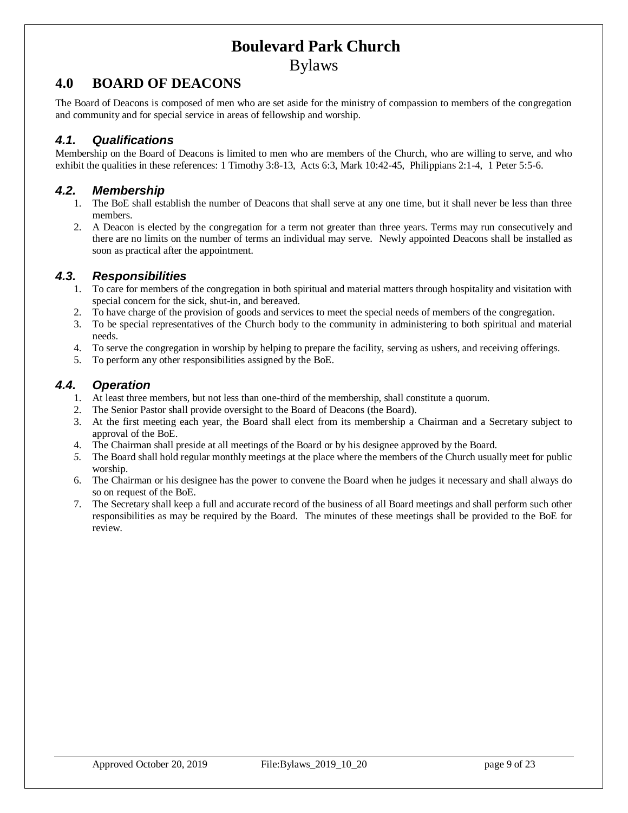### <span id="page-8-0"></span>**4.0 BOARD OF DEACONS**

The Board of Deacons is composed of men who are set aside for the ministry of compassion to members of the congregation and community and for special service in areas of fellowship and worship.

#### <span id="page-8-1"></span>*4.1. Qualifications*

Membership on the Board of Deacons is limited to men who are members of the Church, who are willing to serve, and who exhibit the qualities in these references: 1 Timothy 3:8-13, Acts 6:3, Mark 10:42-45, Philippians 2:1-4, 1 Peter 5:5-6.

#### <span id="page-8-2"></span>*4.2. Membership*

- 1. The BoE shall establish the number of Deacons that shall serve at any one time, but it shall never be less than three members.
- 2. A Deacon is elected by the congregation for a term not greater than three years. Terms may run consecutively and there are no limits on the number of terms an individual may serve. Newly appointed Deacons shall be installed as soon as practical after the appointment.

#### <span id="page-8-3"></span>*4.3. Responsibilities*

- 1. To care for members of the congregation in both spiritual and material matters through hospitality and visitation with special concern for the sick, shut-in, and bereaved.
- 2. To have charge of the provision of goods and services to meet the special needs of members of the congregation.
- 3. To be special representatives of the Church body to the community in administering to both spiritual and material needs.
- 4. To serve the congregation in worship by helping to prepare the facility, serving as ushers, and receiving offerings.
- 5. To perform any other responsibilities assigned by the BoE.

#### <span id="page-8-4"></span>*4.4. Operation*

- 1. At least three members, but not less than one-third of the membership, shall constitute a quorum.
- 2. The Senior Pastor shall provide oversight to the Board of Deacons (the Board).
- 3. At the first meeting each year, the Board shall elect from its membership a Chairman and a Secretary subject to approval of the BoE.
- 4. The Chairman shall preside at all meetings of the Board or by his designee approved by the Board.
- *5.* The Board shall hold regular monthly meetings at the place where the members of the Church usually meet for public worship.
- 6. The Chairman or his designee has the power to convene the Board when he judges it necessary and shall always do so on request of the BoE.
- 7. The Secretary shall keep a full and accurate record of the business of all Board meetings and shall perform such other responsibilities as may be required by the Board. The minutes of these meetings shall be provided to the BoE for review.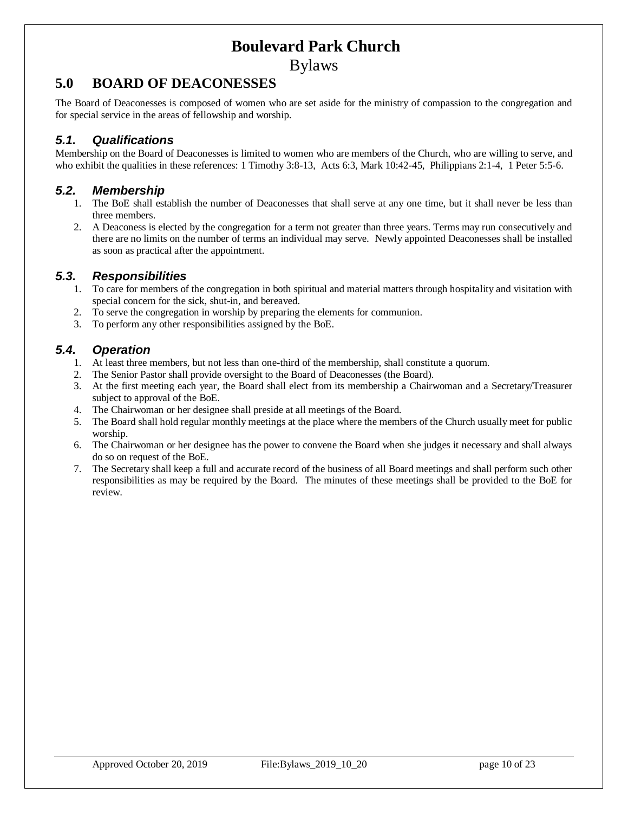Bylaws

## <span id="page-9-0"></span>**5.0 BOARD OF DEACONESSES**

The Board of Deaconesses is composed of women who are set aside for the ministry of compassion to the congregation and for special service in the areas of fellowship and worship.

#### <span id="page-9-1"></span>*5.1. Qualifications*

Membership on the Board of Deaconesses is limited to women who are members of the Church, who are willing to serve, and who exhibit the qualities in these references: 1 Timothy 3:8-13, Acts 6:3, Mark 10:42-45, Philippians 2:1-4, 1 Peter 5:5-6.

#### <span id="page-9-2"></span>*5.2. Membership*

- 1. The BoE shall establish the number of Deaconesses that shall serve at any one time, but it shall never be less than three members.
- 2. A Deaconess is elected by the congregation for a term not greater than three years. Terms may run consecutively and there are no limits on the number of terms an individual may serve. Newly appointed Deaconesses shall be installed as soon as practical after the appointment.

#### <span id="page-9-3"></span>*5.3. Responsibilities*

- 1. To care for members of the congregation in both spiritual and material matters through hospitality and visitation with special concern for the sick, shut-in, and bereaved.
- 2. To serve the congregation in worship by preparing the elements for communion.
- 3. To perform any other responsibilities assigned by the BoE.

#### <span id="page-9-4"></span>*5.4. Operation*

- 1. At least three members, but not less than one-third of the membership, shall constitute a quorum.
- 2. The Senior Pastor shall provide oversight to the Board of Deaconesses (the Board).
- 3. At the first meeting each year, the Board shall elect from its membership a Chairwoman and a Secretary/Treasurer subject to approval of the BoE.
- 4. The Chairwoman or her designee shall preside at all meetings of the Board.
- 5. The Board shall hold regular monthly meetings at the place where the members of the Church usually meet for public worship.
- 6. The Chairwoman or her designee has the power to convene the Board when she judges it necessary and shall always do so on request of the BoE.
- 7. The Secretary shall keep a full and accurate record of the business of all Board meetings and shall perform such other responsibilities as may be required by the Board. The minutes of these meetings shall be provided to the BoE for review.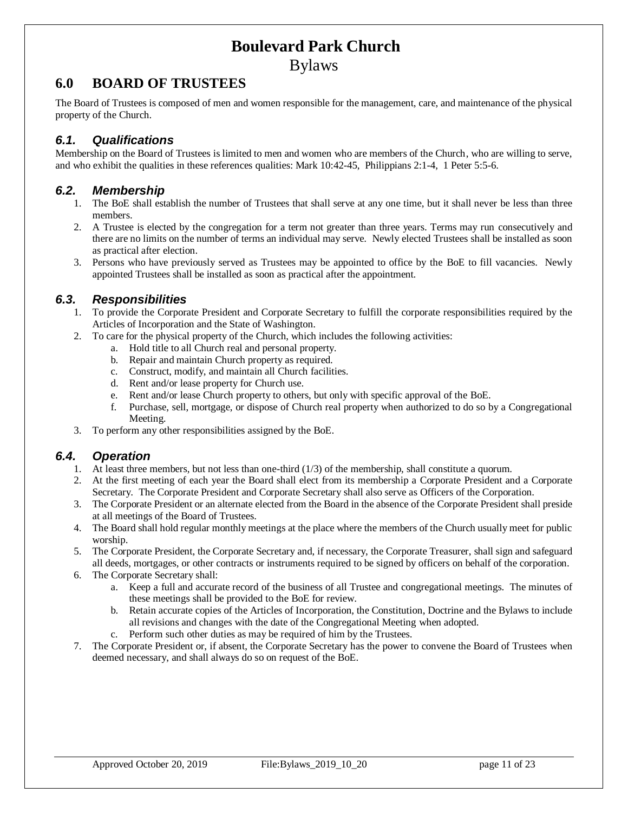Bylaws

## <span id="page-10-0"></span>**6.0 BOARD OF TRUSTEES**

The Board of Trustees is composed of men and women responsible for the management, care, and maintenance of the physical property of the Church.

#### <span id="page-10-1"></span>*6.1. Qualifications*

Membership on the Board of Trustees is limited to men and women who are members of the Church, who are willing to serve, and who exhibit the qualities in these references qualities: Mark 10:42-45, Philippians 2:1-4, 1 Peter 5:5-6.

#### <span id="page-10-2"></span>*6.2. Membership*

- 1. The BoE shall establish the number of Trustees that shall serve at any one time, but it shall never be less than three members.
- 2. A Trustee is elected by the congregation for a term not greater than three years. Terms may run consecutively and there are no limits on the number of terms an individual may serve. Newly elected Trustees shall be installed as soon as practical after election.
- 3. Persons who have previously served as Trustees may be appointed to office by the BoE to fill vacancies. Newly appointed Trustees shall be installed as soon as practical after the appointment.

#### <span id="page-10-3"></span>*6.3. Responsibilities*

- 1. To provide the Corporate President and Corporate Secretary to fulfill the corporate responsibilities required by the Articles of Incorporation and the State of Washington.
- 2. To care for the physical property of the Church, which includes the following activities:
	- a. Hold title to all Church real and personal property.
	- b. Repair and maintain Church property as required.
	- c. Construct, modify, and maintain all Church facilities.
	- d. Rent and/or lease property for Church use.
	- e. Rent and/or lease Church property to others, but only with specific approval of the BoE.
	- f. Purchase, sell, mortgage, or dispose of Church real property when authorized to do so by a Congregational Meeting.
- 3. To perform any other responsibilities assigned by the BoE.

#### <span id="page-10-4"></span>*6.4. Operation*

- 1. At least three members, but not less than one-third (1/3) of the membership, shall constitute a quorum.
- 2. At the first meeting of each year the Board shall elect from its membership a Corporate President and a Corporate Secretary. The Corporate President and Corporate Secretary shall also serve as Officers of the Corporation.
- 3. The Corporate President or an alternate elected from the Board in the absence of the Corporate President shall preside at all meetings of the Board of Trustees.
- 4. The Board shall hold regular monthly meetings at the place where the members of the Church usually meet for public worship.
- 5. The Corporate President, the Corporate Secretary and, if necessary, the Corporate Treasurer, shall sign and safeguard all deeds, mortgages, or other contracts or instruments required to be signed by officers on behalf of the corporation.
- 6. The Corporate Secretary shall:
	- a. Keep a full and accurate record of the business of all Trustee and congregational meetings. The minutes of these meetings shall be provided to the BoE for review.
	- b. Retain accurate copies of the Articles of Incorporation, the Constitution, Doctrine and the Bylaws to include all revisions and changes with the date of the Congregational Meeting when adopted.
	- c. Perform such other duties as may be required of him by the Trustees.
- 7. The Corporate President or, if absent, the Corporate Secretary has the power to convene the Board of Trustees when deemed necessary, and shall always do so on request of the BoE.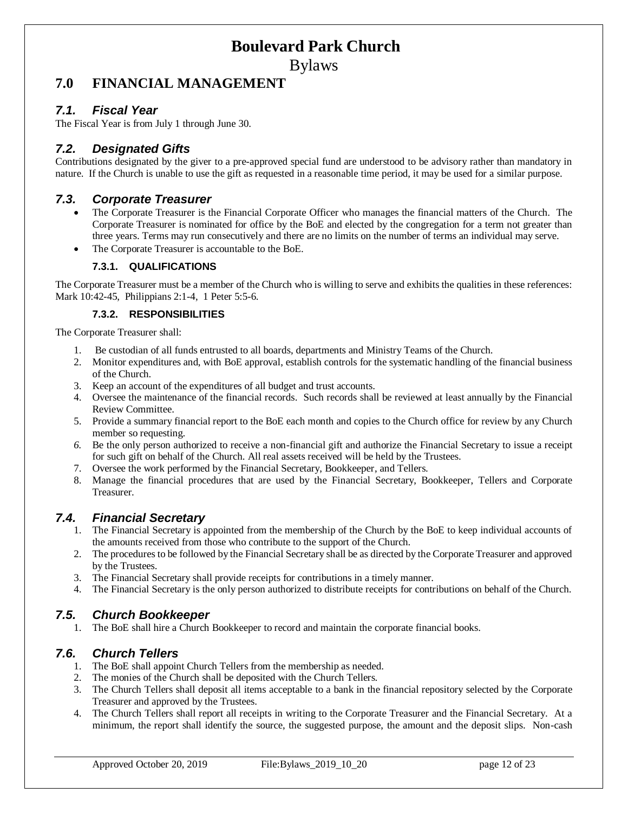Bylaws

## <span id="page-11-0"></span>**7.0 FINANCIAL MANAGEMENT**

#### <span id="page-11-1"></span>*7.1. Fiscal Year*

The Fiscal Year is from July 1 through June 30.

#### <span id="page-11-2"></span>*7.2. Designated Gifts*

Contributions designated by the giver to a pre-approved special fund are understood to be advisory rather than mandatory in nature. If the Church is unable to use the gift as requested in a reasonable time period, it may be used for a similar purpose.

#### <span id="page-11-3"></span>*7.3. Corporate Treasurer*

- The Corporate Treasurer is the Financial Corporate Officer who manages the financial matters of the Church. The Corporate Treasurer is nominated for office by the BoE and elected by the congregation for a term not greater than three years. Terms may run consecutively and there are no limits on the number of terms an individual may serve.
- The Corporate Treasurer is accountable to the BoE.

#### **7.3.1. QUALIFICATIONS**

The Corporate Treasurer must be a member of the Church who is willing to serve and exhibits the qualities in these references: Mark 10:42-45, Philippians 2:1-4, 1 Peter 5:5-6.

#### **7.3.2. RESPONSIBILITIES**

The Corporate Treasurer shall:

- 1. Be custodian of all funds entrusted to all boards, departments and Ministry Teams of the Church.
- 2. Monitor expenditures and, with BoE approval, establish controls for the systematic handling of the financial business of the Church.
- 3. Keep an account of the expenditures of all budget and trust accounts.
- 4. Oversee the maintenance of the financial records. Such records shall be reviewed at least annually by the Financial Review Committee.
- 5. Provide a summary financial report to the BoE each month and copies to the Church office for review by any Church member so requesting.
- *6.* Be the only person authorized to receive a non-financial gift and authorize the Financial Secretary to issue a receipt for such gift on behalf of the Church. All real assets received will be held by the Trustees.
- 7. Oversee the work performed by the Financial Secretary, Bookkeeper, and Tellers.
- 8. Manage the financial procedures that are used by the Financial Secretary, Bookkeeper, Tellers and Corporate Treasurer.

#### <span id="page-11-4"></span>*7.4. Financial Secretary*

- 1. The Financial Secretary is appointed from the membership of the Church by the BoE to keep individual accounts of the amounts received from those who contribute to the support of the Church.
- 2. The procedures to be followed by the Financial Secretary shall be as directed by the Corporate Treasurer and approved by the Trustees.
- 3. The Financial Secretary shall provide receipts for contributions in a timely manner.
- 4. The Financial Secretary is the only person authorized to distribute receipts for contributions on behalf of the Church.

### <span id="page-11-5"></span>*7.5. Church Bookkeeper*

1. The BoE shall hire a Church Bookkeeper to record and maintain the corporate financial books.

### <span id="page-11-6"></span>*7.6. Church Tellers*

- 1. The BoE shall appoint Church Tellers from the membership as needed.
- 2. The monies of the Church shall be deposited with the Church Tellers.
- 3. The Church Tellers shall deposit all items acceptable to a bank in the financial repository selected by the Corporate Treasurer and approved by the Trustees.
- 4. The Church Tellers shall report all receipts in writing to the Corporate Treasurer and the Financial Secretary. At a minimum, the report shall identify the source, the suggested purpose, the amount and the deposit slips. Non-cash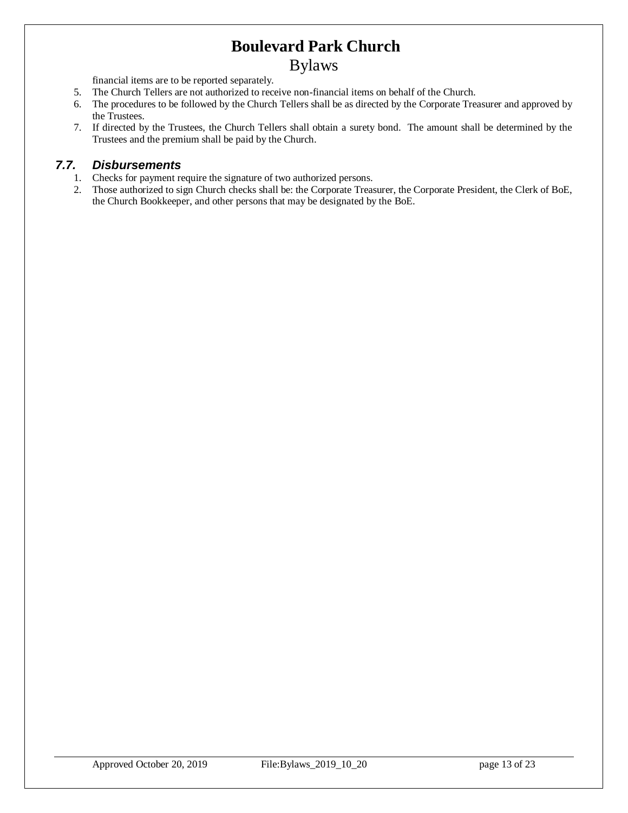### Bylaws

financial items are to be reported separately.

- 5. The Church Tellers are not authorized to receive non-financial items on behalf of the Church.
- 6. The procedures to be followed by the Church Tellers shall be as directed by the Corporate Treasurer and approved by the Trustees.
- 7. If directed by the Trustees, the Church Tellers shall obtain a surety bond. The amount shall be determined by the Trustees and the premium shall be paid by the Church.

#### <span id="page-12-0"></span>*7.7. Disbursements*

- 1. Checks for payment require the signature of two authorized persons.
- 2. Those authorized to sign Church checks shall be: the Corporate Treasurer, the Corporate President, the Clerk of BoE, the Church Bookkeeper, and other persons that may be designated by the BoE.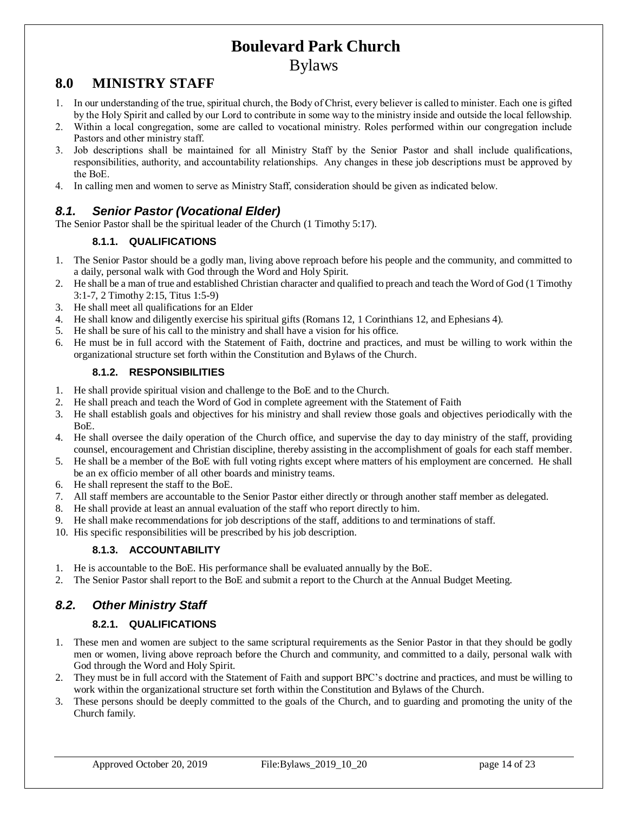### Bylaws

## <span id="page-13-0"></span>**8.0 MINISTRY STAFF**

- 1. In our understanding of the true, spiritual church, the Body of Christ, every believer is called to minister. Each one is gifted by the Holy Spirit and called by our Lord to contribute in some way to the ministry inside and outside the local fellowship.
- 2. Within a local congregation, some are called to vocational ministry. Roles performed within our congregation include Pastors and other ministry staff.
- 3. Job descriptions shall be maintained for all Ministry Staff by the Senior Pastor and shall include qualifications, responsibilities, authority, and accountability relationships. Any changes in these job descriptions must be approved by the BoE.
- 4. In calling men and women to serve as Ministry Staff, consideration should be given as indicated below.

### <span id="page-13-1"></span>*8.1. Senior Pastor (Vocational Elder)*

The Senior Pastor shall be the spiritual leader of the Church (1 Timothy 5:17).

#### **8.1.1. QUALIFICATIONS**

- 1. The Senior Pastor should be a godly man, living above reproach before his people and the community, and committed to a daily, personal walk with God through the Word and Holy Spirit.
- 2. He shall be a man of true and established Christian character and qualified to preach and teach the Word of God (1 Timothy 3:1-7, 2 Timothy 2:15, Titus 1:5-9)
- 3. He shall meet all qualifications for an Elder
- 4. He shall know and diligently exercise his spiritual gifts (Romans 12, 1 Corinthians 12, and Ephesians 4).
- 5. He shall be sure of his call to the ministry and shall have a vision for his office.
- 6. He must be in full accord with the Statement of Faith, doctrine and practices, and must be willing to work within the organizational structure set forth within the Constitution and Bylaws of the Church.

#### **8.1.2. RESPONSIBILITIES**

- 1. He shall provide spiritual vision and challenge to the BoE and to the Church.
- 2. He shall preach and teach the Word of God in complete agreement with the Statement of Faith
- 3. He shall establish goals and objectives for his ministry and shall review those goals and objectives periodically with the BoE.
- 4. He shall oversee the daily operation of the Church office, and supervise the day to day ministry of the staff, providing counsel, encouragement and Christian discipline, thereby assisting in the accomplishment of goals for each staff member.
- 5. He shall be a member of the BoE with full voting rights except where matters of his employment are concerned. He shall be an ex officio member of all other boards and ministry teams.
- 6. He shall represent the staff to the BoE.
- 7. All staff members are accountable to the Senior Pastor either directly or through another staff member as delegated.
- 8. He shall provide at least an annual evaluation of the staff who report directly to him.
- 9. He shall make recommendations for job descriptions of the staff, additions to and terminations of staff.
- 10. His specific responsibilities will be prescribed by his job description.

#### **8.1.3. ACCOUNTABILITY**

- 1. He is accountable to the BoE. His performance shall be evaluated annually by the BoE.
- 2. The Senior Pastor shall report to the BoE and submit a report to the Church at the Annual Budget Meeting.

### <span id="page-13-2"></span>*8.2. Other Ministry Staff*

#### **8.2.1. QUALIFICATIONS**

- 1. These men and women are subject to the same scriptural requirements as the Senior Pastor in that they should be godly men or women, living above reproach before the Church and community, and committed to a daily, personal walk with God through the Word and Holy Spirit.
- 2. They must be in full accord with the Statement of Faith and support BPC's doctrine and practices, and must be willing to work within the organizational structure set forth within the Constitution and Bylaws of the Church.
- 3. These persons should be deeply committed to the goals of the Church, and to guarding and promoting the unity of the Church family.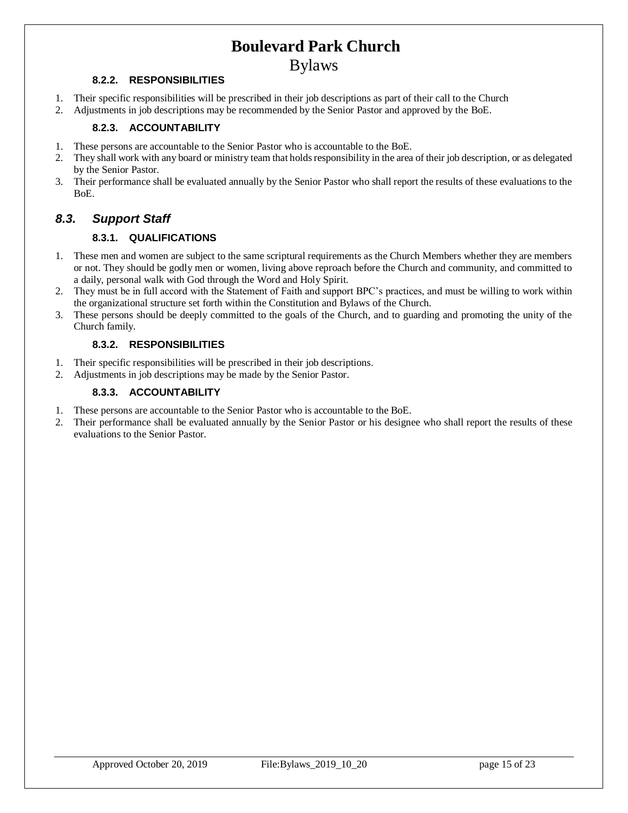### Bylaws

#### **8.2.2. RESPONSIBILITIES**

- 1. Their specific responsibilities will be prescribed in their job descriptions as part of their call to the Church
- 2. Adjustments in job descriptions may be recommended by the Senior Pastor and approved by the BoE.

#### **8.2.3. ACCOUNTABILITY**

- 1. These persons are accountable to the Senior Pastor who is accountable to the BoE.
- 2. They shall work with any board or ministry team that holds responsibility in the area of their job description, or as delegated by the Senior Pastor.
- 3. Their performance shall be evaluated annually by the Senior Pastor who shall report the results of these evaluations to the BoE.

### <span id="page-14-0"></span>*8.3. Support Staff*

#### **8.3.1. QUALIFICATIONS**

- 1. These men and women are subject to the same scriptural requirements as the Church Members whether they are members or not. They should be godly men or women, living above reproach before the Church and community, and committed to a daily, personal walk with God through the Word and Holy Spirit.
- 2. They must be in full accord with the Statement of Faith and support BPC's practices, and must be willing to work within the organizational structure set forth within the Constitution and Bylaws of the Church.
- 3. These persons should be deeply committed to the goals of the Church, and to guarding and promoting the unity of the Church family.

#### **8.3.2. RESPONSIBILITIES**

- 1. Their specific responsibilities will be prescribed in their job descriptions.
- 2. Adjustments in job descriptions may be made by the Senior Pastor.

#### **8.3.3. ACCOUNTABILITY**

- 1. These persons are accountable to the Senior Pastor who is accountable to the BoE.
- 2. Their performance shall be evaluated annually by the Senior Pastor or his designee who shall report the results of these evaluations to the Senior Pastor.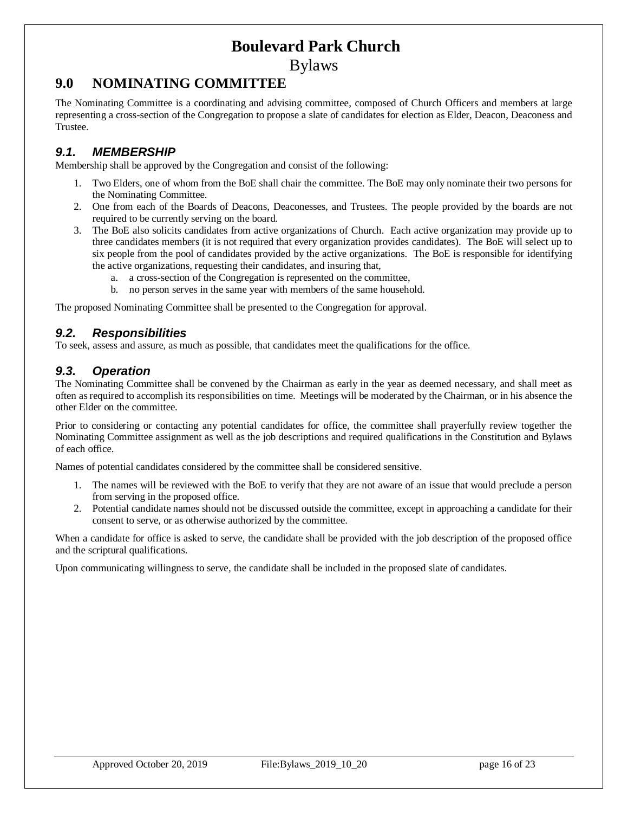Bylaws

### <span id="page-15-0"></span>**9.0 NOMINATING COMMITTEE**

The Nominating Committee is a coordinating and advising committee, composed of Church Officers and members at large representing a cross-section of the Congregation to propose a slate of candidates for election as Elder, Deacon, Deaconess and Trustee.

#### <span id="page-15-1"></span>*9.1. MEMBERSHIP*

Membership shall be approved by the Congregation and consist of the following:

- 1. Two Elders, one of whom from the BoE shall chair the committee. The BoE may only nominate their two persons for the Nominating Committee.
- 2. One from each of the Boards of Deacons, Deaconesses, and Trustees. The people provided by the boards are not required to be currently serving on the board.
- 3. The BoE also solicits candidates from active organizations of Church. Each active organization may provide up to three candidates members (it is not required that every organization provides candidates). The BoE will select up to six people from the pool of candidates provided by the active organizations. The BoE is responsible for identifying the active organizations, requesting their candidates, and insuring that,
	- a. a cross-section of the Congregation is represented on the committee,
	- b. no person serves in the same year with members of the same household.

The proposed Nominating Committee shall be presented to the Congregation for approval.

#### <span id="page-15-2"></span>*9.2. Responsibilities*

To seek, assess and assure, as much as possible, that candidates meet the qualifications for the office.

#### <span id="page-15-3"></span>*9.3. Operation*

The Nominating Committee shall be convened by the Chairman as early in the year as deemed necessary, and shall meet as often as required to accomplish its responsibilities on time. Meetings will be moderated by the Chairman, or in his absence the other Elder on the committee.

Prior to considering or contacting any potential candidates for office, the committee shall prayerfully review together the Nominating Committee assignment as well as the job descriptions and required qualifications in the Constitution and Bylaws of each office.

Names of potential candidates considered by the committee shall be considered sensitive.

- 1. The names will be reviewed with the BoE to verify that they are not aware of an issue that would preclude a person from serving in the proposed office.
- 2. Potential candidate names should not be discussed outside the committee, except in approaching a candidate for their consent to serve, or as otherwise authorized by the committee.

When a candidate for office is asked to serve, the candidate shall be provided with the job description of the proposed office and the scriptural qualifications.

Upon communicating willingness to serve, the candidate shall be included in the proposed slate of candidates.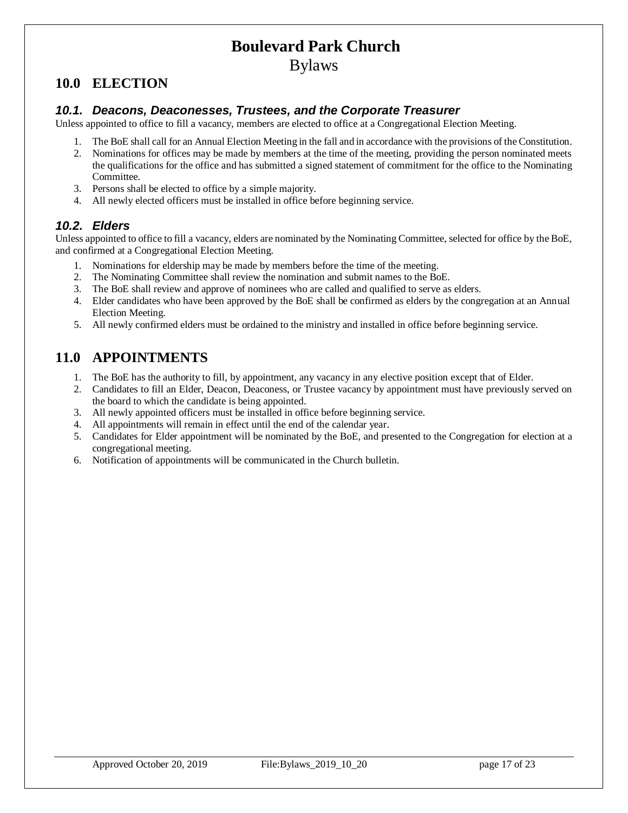Bylaws

## <span id="page-16-0"></span>**10.0 ELECTION**

#### <span id="page-16-1"></span>*10.1. Deacons, Deaconesses, Trustees, and the Corporate Treasurer*

Unless appointed to office to fill a vacancy, members are elected to office at a Congregational Election Meeting.

- 1. The BoE shall call for an Annual Election Meeting in the fall and in accordance with the provisions of the Constitution.
- 2. Nominations for offices may be made by members at the time of the meeting, providing the person nominated meets the qualifications for the office and has submitted a signed statement of commitment for the office to the Nominating Committee.
- 3. Persons shall be elected to office by a simple majority.
- 4. All newly elected officers must be installed in office before beginning service.

#### <span id="page-16-2"></span>*10.2. Elders*

Unless appointed to office to fill a vacancy, elders are nominated by the Nominating Committee, selected for office by the BoE, and confirmed at a Congregational Election Meeting.

- 1. Nominations for eldership may be made by members before the time of the meeting.
- 2. The Nominating Committee shall review the nomination and submit names to the BoE.
- 3. The BoE shall review and approve of nominees who are called and qualified to serve as elders.
- 4. Elder candidates who have been approved by the BoE shall be confirmed as elders by the congregation at an Annual Election Meeting.
- 5. All newly confirmed elders must be ordained to the ministry and installed in office before beginning service.

## <span id="page-16-3"></span>**11.0 APPOINTMENTS**

- 1. The BoE has the authority to fill, by appointment, any vacancy in any elective position except that of Elder.
- 2. Candidates to fill an Elder, Deacon, Deaconess, or Trustee vacancy by appointment must have previously served on the board to which the candidate is being appointed.
- 3. All newly appointed officers must be installed in office before beginning service.
- 4. All appointments will remain in effect until the end of the calendar year.
- 5. Candidates for Elder appointment will be nominated by the BoE, and presented to the Congregation for election at a congregational meeting.
- 6. Notification of appointments will be communicated in the Church bulletin.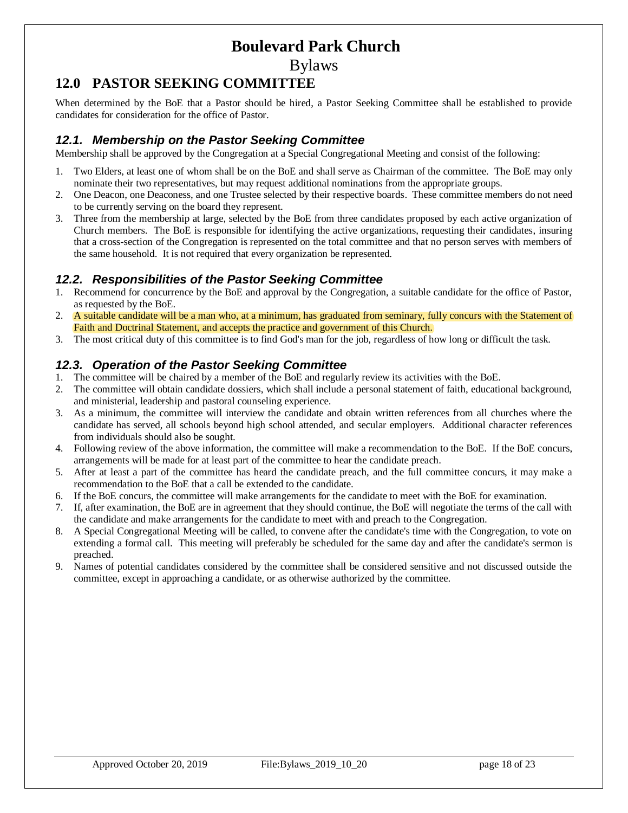Bylaws

## <span id="page-17-0"></span>**12.0 PASTOR SEEKING COMMITTEE**

When determined by the BoE that a Pastor should be hired, a Pastor Seeking Committee shall be established to provide candidates for consideration for the office of Pastor.

#### <span id="page-17-1"></span>*12.1. Membership on the Pastor Seeking Committee*

Membership shall be approved by the Congregation at a Special Congregational Meeting and consist of the following:

- 1. Two Elders, at least one of whom shall be on the BoE and shall serve as Chairman of the committee. The BoE may only nominate their two representatives, but may request additional nominations from the appropriate groups.
- 2. One Deacon, one Deaconess, and one Trustee selected by their respective boards. These committee members do not need to be currently serving on the board they represent.
- 3. Three from the membership at large, selected by the BoE from three candidates proposed by each active organization of Church members. The BoE is responsible for identifying the active organizations, requesting their candidates, insuring that a cross-section of the Congregation is represented on the total committee and that no person serves with members of the same household. It is not required that every organization be represented.

#### <span id="page-17-2"></span>*12.2. Responsibilities of the Pastor Seeking Committee*

- Recommend for concurrence by the BoE and approval by the Congregation, a suitable candidate for the office of Pastor, as requested by the BoE.
- 2. A suitable candidate will be a man who, at a minimum, has graduated from seminary, fully concurs with the Statement of Faith and Doctrinal Statement, and accepts the practice and government of this Church.
- 3. The most critical duty of this committee is to find God's man for the job, regardless of how long or difficult the task.

#### <span id="page-17-3"></span>*12.3. Operation of the Pastor Seeking Committee*

- 1. The committee will be chaired by a member of the BoE and regularly review its activities with the BoE.
- 2. The committee will obtain candidate dossiers, which shall include a personal statement of faith, educational background, and ministerial, leadership and pastoral counseling experience.
- 3. As a minimum, the committee will interview the candidate and obtain written references from all churches where the candidate has served, all schools beyond high school attended, and secular employers. Additional character references from individuals should also be sought.
- 4. Following review of the above information, the committee will make a recommendation to the BoE. If the BoE concurs, arrangements will be made for at least part of the committee to hear the candidate preach.
- 5. After at least a part of the committee has heard the candidate preach, and the full committee concurs, it may make a recommendation to the BoE that a call be extended to the candidate.
- 6. If the BoE concurs, the committee will make arrangements for the candidate to meet with the BoE for examination.
- 7. If, after examination, the BoE are in agreement that they should continue, the BoE will negotiate the terms of the call with the candidate and make arrangements for the candidate to meet with and preach to the Congregation.
- 8. A Special Congregational Meeting will be called, to convene after the candidate's time with the Congregation, to vote on extending a formal call. This meeting will preferably be scheduled for the same day and after the candidate's sermon is preached.
- 9. Names of potential candidates considered by the committee shall be considered sensitive and not discussed outside the committee, except in approaching a candidate, or as otherwise authorized by the committee.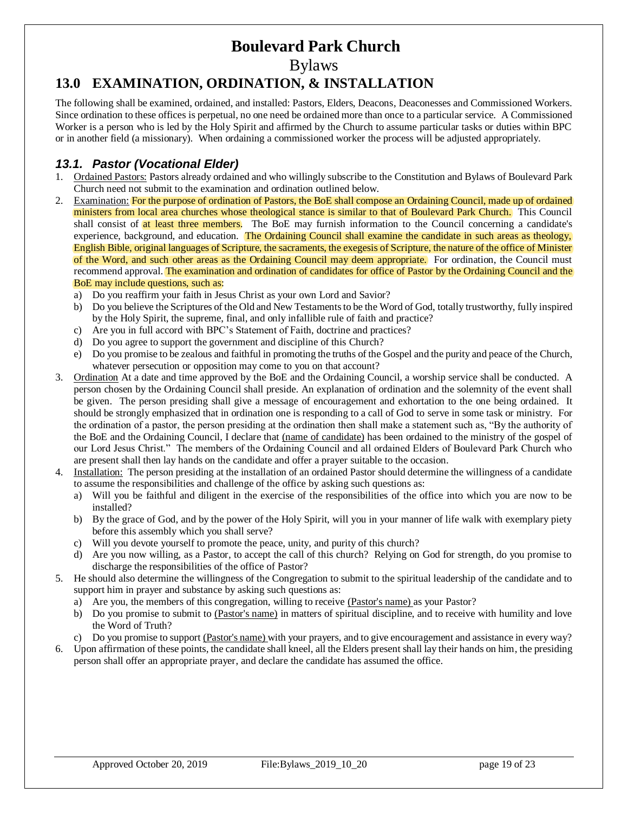Bylaws

## <span id="page-18-0"></span>**13.0 EXAMINATION, ORDINATION, & INSTALLATION**

The following shall be examined, ordained, and installed: Pastors, Elders, Deacons, Deaconesses and Commissioned Workers. Since ordination to these offices is perpetual, no one need be ordained more than once to a particular service. A Commissioned Worker is a person who is led by the Holy Spirit and affirmed by the Church to assume particular tasks or duties within BPC or in another field (a missionary). When ordaining a commissioned worker the process will be adjusted appropriately.

### <span id="page-18-1"></span>*13.1. Pastor (Vocational Elder)*

- 1. Ordained Pastors: Pastors already ordained and who willingly subscribe to the Constitution and Bylaws of Boulevard Park Church need not submit to the examination and ordination outlined below.
- 2. Examination: For the purpose of ordination of Pastors, the BoE shall compose an Ordaining Council, made up of ordained ministers from local area churches whose theological stance is similar to that of Boulevard Park Church. This Council shall consist of at least three members. The BoE may furnish information to the Council concerning a candidate's experience, background, and education. The Ordaining Council shall examine the candidate in such areas as theology, English Bible, original languages of Scripture, the sacraments, the exegesis of Scripture, the nature of the office of Minister of the Word, and such other areas as the Ordaining Council may deem appropriate. For ordination, the Council must recommend approval. The examination and ordination of candidates for office of Pastor by the Ordaining Council and the BoE may include questions, such as:
	- a) Do you reaffirm your faith in Jesus Christ as your own Lord and Savior?
	- b) Do you believe the Scriptures of the Old and New Testaments to be the Word of God, totally trustworthy, fully inspired by the Holy Spirit, the supreme, final, and only infallible rule of faith and practice?
	- c) Are you in full accord with BPC's Statement of Faith, doctrine and practices?
	- d) Do you agree to support the government and discipline of this Church?
	- e) Do you promise to be zealous and faithful in promoting the truths of the Gospel and the purity and peace of the Church, whatever persecution or opposition may come to you on that account?
- 3. Ordination At a date and time approved by the BoE and the Ordaining Council, a worship service shall be conducted. A person chosen by the Ordaining Council shall preside. An explanation of ordination and the solemnity of the event shall be given. The person presiding shall give a message of encouragement and exhortation to the one being ordained. It should be strongly emphasized that in ordination one is responding to a call of God to serve in some task or ministry. For the ordination of a pastor, the person presiding at the ordination then shall make a statement such as, "By the authority of the BoE and the Ordaining Council, I declare that (name of candidate) has been ordained to the ministry of the gospel of our Lord Jesus Christ." The members of the Ordaining Council and all ordained Elders of Boulevard Park Church who are present shall then lay hands on the candidate and offer a prayer suitable to the occasion.
- 4. Installation: The person presiding at the installation of an ordained Pastor should determine the willingness of a candidate to assume the responsibilities and challenge of the office by asking such questions as:
	- a) Will you be faithful and diligent in the exercise of the responsibilities of the office into which you are now to be installed?
	- b) By the grace of God, and by the power of the Holy Spirit, will you in your manner of life walk with exemplary piety before this assembly which you shall serve?
	- c) Will you devote yourself to promote the peace, unity, and purity of this church?
	- d) Are you now willing, as a Pastor, to accept the call of this church? Relying on God for strength, do you promise to discharge the responsibilities of the office of Pastor?
- 5. He should also determine the willingness of the Congregation to submit to the spiritual leadership of the candidate and to support him in prayer and substance by asking such questions as:
	- a) Are you, the members of this congregation, willing to receive (Pastor's name) as your Pastor?
	- b) Do you promise to submit to (Pastor's name) in matters of spiritual discipline, and to receive with humility and love the Word of Truth?
	- c) Do you promise to support (Pastor's name) with your prayers, and to give encouragement and assistance in every way?
- 6. Upon affirmation of these points, the candidate shall kneel, all the Elders present shall lay their hands on him, the presiding person shall offer an appropriate prayer, and declare the candidate has assumed the office.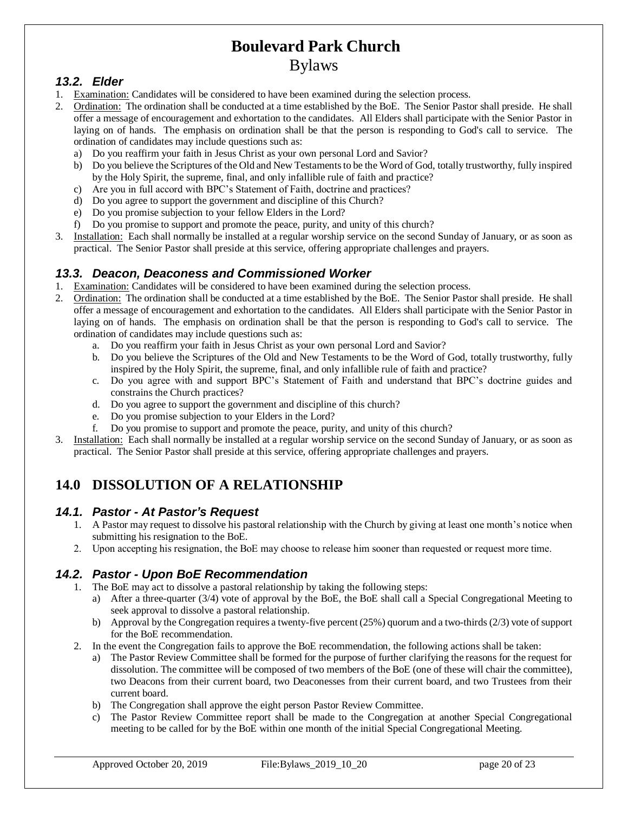#### <span id="page-19-0"></span>*13.2. Elder*

- 1. Examination: Candidates will be considered to have been examined during the selection process.
- 2. Ordination: The ordination shall be conducted at a time established by the BoE. The Senior Pastor shall preside. He shall offer a message of encouragement and exhortation to the candidates. All Elders shall participate with the Senior Pastor in laying on of hands. The emphasis on ordination shall be that the person is responding to God's call to service. The ordination of candidates may include questions such as:
	- a) Do you reaffirm your faith in Jesus Christ as your own personal Lord and Savior?
	- b) Do you believe the Scriptures of the Old and New Testaments to be the Word of God, totally trustworthy, fully inspired by the Holy Spirit, the supreme, final, and only infallible rule of faith and practice?
	- c) Are you in full accord with BPC's Statement of Faith, doctrine and practices?
	- d) Do you agree to support the government and discipline of this Church?
	- e) Do you promise subjection to your fellow Elders in the Lord?
	- f) Do you promise to support and promote the peace, purity, and unity of this church?
- 3. Installation: Each shall normally be installed at a regular worship service on the second Sunday of January, or as soon as practical. The Senior Pastor shall preside at this service, offering appropriate challenges and prayers.

#### <span id="page-19-1"></span>*13.3. Deacon, Deaconess and Commissioned Worker*

- 1. Examination: Candidates will be considered to have been examined during the selection process.
- 2. Ordination: The ordination shall be conducted at a time established by the BoE. The Senior Pastor shall preside. He shall offer a message of encouragement and exhortation to the candidates. All Elders shall participate with the Senior Pastor in laying on of hands. The emphasis on ordination shall be that the person is responding to God's call to service. The ordination of candidates may include questions such as:
	- a. Do you reaffirm your faith in Jesus Christ as your own personal Lord and Savior?
	- b. Do you believe the Scriptures of the Old and New Testaments to be the Word of God, totally trustworthy, fully inspired by the Holy Spirit, the supreme, final, and only infallible rule of faith and practice?
	- c. Do you agree with and support BPC's Statement of Faith and understand that BPC's doctrine guides and constrains the Church practices?
	- d. Do you agree to support the government and discipline of this church?
	- e. Do you promise subjection to your Elders in the Lord?
	- f. Do you promise to support and promote the peace, purity, and unity of this church?
- 3. Installation: Each shall normally be installed at a regular worship service on the second Sunday of January, or as soon as practical. The Senior Pastor shall preside at this service, offering appropriate challenges and prayers.

## <span id="page-19-2"></span>**14.0 DISSOLUTION OF A RELATIONSHIP**

#### <span id="page-19-3"></span>*14.1. Pastor - At Pastor's Request*

- 1. A Pastor may request to dissolve his pastoral relationship with the Church by giving at least one month's notice when submitting his resignation to the BoE.
- 2. Upon accepting his resignation, the BoE may choose to release him sooner than requested or request more time.

#### <span id="page-19-4"></span>*14.2. Pastor - Upon BoE Recommendation*

- 1. The BoE may act to dissolve a pastoral relationship by taking the following steps:
	- a) After a three-quarter (3/4) vote of approval by the BoE, the BoE shall call a Special Congregational Meeting to seek approval to dissolve a pastoral relationship.
	- b) Approval by the Congregation requires a twenty-five percent (25%) quorum and a two-thirds (2/3) vote of support for the BoE recommendation.
- 2. In the event the Congregation fails to approve the BoE recommendation, the following actions shall be taken:
	- a) The Pastor Review Committee shall be formed for the purpose of further clarifying the reasons for the request for dissolution. The committee will be composed of two members of the BoE (one of these will chair the committee), two Deacons from their current board, two Deaconesses from their current board, and two Trustees from their current board.
	- b) The Congregation shall approve the eight person Pastor Review Committee.
	- c) The Pastor Review Committee report shall be made to the Congregation at another Special Congregational meeting to be called for by the BoE within one month of the initial Special Congregational Meeting.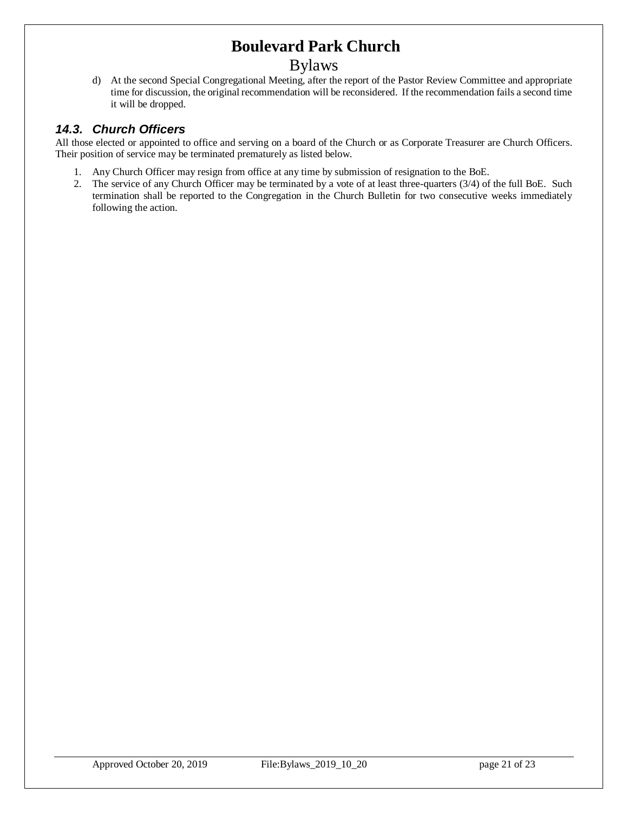### Bylaws

d) At the second Special Congregational Meeting, after the report of the Pastor Review Committee and appropriate time for discussion, the original recommendation will be reconsidered. If the recommendation fails a second time it will be dropped.

#### <span id="page-20-0"></span>*14.3. Church Officers*

All those elected or appointed to office and serving on a board of the Church or as Corporate Treasurer are Church Officers. Their position of service may be terminated prematurely as listed below.

- 1. Any Church Officer may resign from office at any time by submission of resignation to the BoE.
- 2. The service of any Church Officer may be terminated by a vote of at least three-quarters (3/4) of the full BoE. Such termination shall be reported to the Congregation in the Church Bulletin for two consecutive weeks immediately following the action.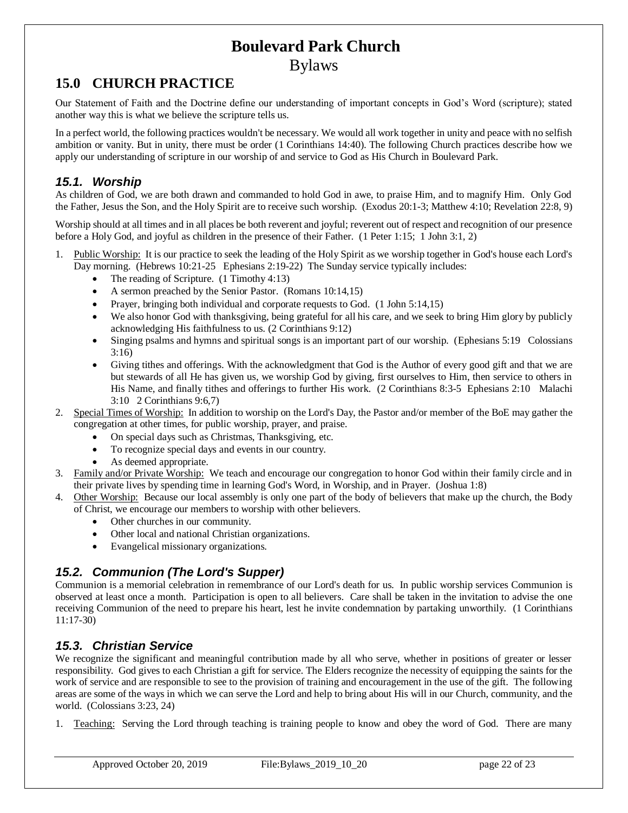## <span id="page-21-0"></span>**15.0 CHURCH PRACTICE**

Our Statement of Faith and the Doctrine define our understanding of important concepts in God's Word (scripture); stated another way this is what we believe the scripture tells us.

In a perfect world, the following practices wouldn't be necessary. We would all work together in unity and peace with no selfish ambition or vanity. But in unity, there must be order (1 Corinthians 14:40). The following Church practices describe how we apply our understanding of scripture in our worship of and service to God as His Church in Boulevard Park.

#### <span id="page-21-1"></span>*15.1. Worship*

As children of God, we are both drawn and commanded to hold God in awe, to praise Him, and to magnify Him. Only God the Father, Jesus the Son, and the Holy Spirit are to receive such worship. (Exodus 20:1-3; Matthew 4:10; Revelation 22:8, 9)

Worship should at all times and in all places be both reverent and joyful; reverent out of respect and recognition of our presence before a Holy God, and joyful as children in the presence of their Father. (1 Peter 1:15; 1 John 3:1, 2)

- 1. Public Worship: It is our practice to seek the leading of the Holy Spirit as we worship together in God's house each Lord's Day morning. (Hebrews 10:21-25 Ephesians 2:19-22) The Sunday service typically includes:
	- The reading of Scripture. (1 Timothy 4:13)
	- A sermon preached by the Senior Pastor. (Romans 10:14,15)
	- Prayer, bringing both individual and corporate requests to God. (1 John 5:14,15)
	- We also honor God with thanksgiving, being grateful for all his care, and we seek to bring Him glory by publicly acknowledging His faithfulness to us. (2 Corinthians 9:12)
	- Singing psalms and hymns and spiritual songs is an important part of our worship. (Ephesians 5:19 Colossians 3:16)
	- Giving tithes and offerings. With the acknowledgment that God is the Author of every good gift and that we are but stewards of all He has given us, we worship God by giving, first ourselves to Him, then service to others in His Name, and finally tithes and offerings to further His work. (2 Corinthians 8:3-5 Ephesians 2:10 Malachi 3:10 2 Corinthians 9:6,7)
- 2. Special Times of Worship: In addition to worship on the Lord's Day, the Pastor and/or member of the BoE may gather the congregation at other times, for public worship, prayer, and praise.
	- On special days such as Christmas, Thanksgiving, etc.
	- To recognize special days and events in our country.
	- As deemed appropriate.
- 3. Family and/or Private Worship: We teach and encourage our congregation to honor God within their family circle and in their private lives by spending time in learning God's Word, in Worship, and in Prayer. (Joshua 1:8)
- 4. Other Worship: Because our local assembly is only one part of the body of believers that make up the church, the Body of Christ, we encourage our members to worship with other believers.
	- Other churches in our community.
	- Other local and national Christian organizations.
	- Evangelical missionary organizations.

#### <span id="page-21-2"></span>*15.2. Communion (The Lord's Supper)*

Communion is a memorial celebration in remembrance of our Lord's death for us. In public worship services Communion is observed at least once a month. Participation is open to all believers. Care shall be taken in the invitation to advise the one receiving Communion of the need to prepare his heart, lest he invite condemnation by partaking unworthily. (1 Corinthians 11:17-30)

#### <span id="page-21-3"></span>*15.3. Christian Service*

We recognize the significant and meaningful contribution made by all who serve, whether in positions of greater or lesser responsibility. God gives to each Christian a gift for service. The Elders recognize the necessity of equipping the saints for the work of service and are responsible to see to the provision of training and encouragement in the use of the gift. The following areas are some of the ways in which we can serve the Lord and help to bring about His will in our Church, community, and the world. (Colossians 3:23, 24)

Teaching: Serving the Lord through teaching is training people to know and obey the word of God. There are many